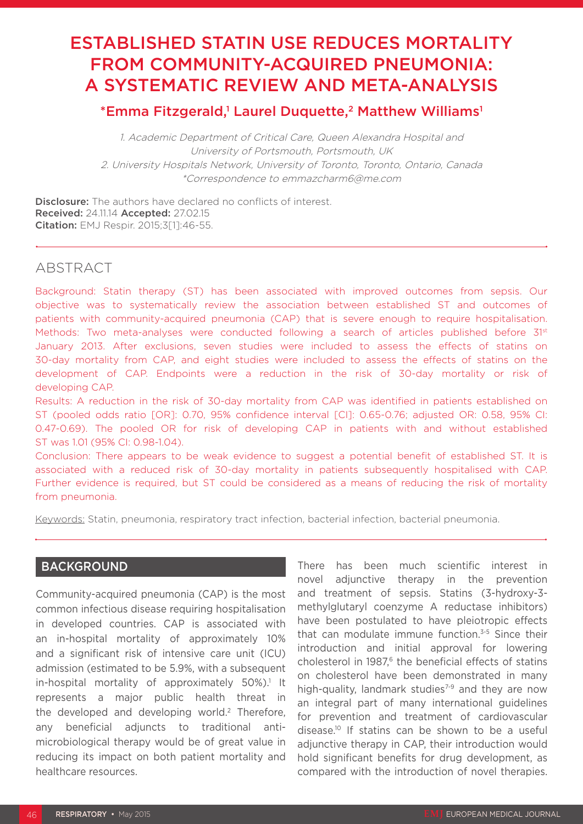# ESTABLISHED STATIN USE REDUCES MORTALITY FROM COMMUNITY-ACQUIRED PNEUMONIA: A SYSTEMATIC REVIEW AND META-ANALYSIS

# \*Emma Fitzgerald,1 Laurel Duquette,<sup>2</sup> Matthew Williams<sup>1</sup>

1. Academic Department of Critical Care, Queen Alexandra Hospital and University of Portsmouth, Portsmouth, UK 2. University Hospitals Network, University of Toronto, Toronto, Ontario, Canada \*Correspondence to emmazcharm6@me.com

**Disclosure:** The authors have declared no conflicts of interest. Received: 24.11.14 Accepted: 27.02.15 Citation: EMJ Respir. 2015;3[1]:46-55.

# ABSTRACT

Background: Statin therapy (ST) has been associated with improved outcomes from sepsis. Our objective was to systematically review the association between established ST and outcomes of patients with community-acquired pneumonia (CAP) that is severe enough to require hospitalisation. Methods: Two meta-analyses were conducted following a search of articles published before 31<sup>st</sup> January 2013. After exclusions, seven studies were included to assess the effects of statins on 30-day mortality from CAP, and eight studies were included to assess the effects of statins on the development of CAP. Endpoints were a reduction in the risk of 30-day mortality or risk of developing CAP.

Results: A reduction in the risk of 30-day mortality from CAP was identified in patients established on ST (pooled odds ratio [OR]: 0.70, 95% confidence interval [CI]: 0.65-0.76; adjusted OR: 0.58, 95% CI: 0.47-0.69). The pooled OR for risk of developing CAP in patients with and without established ST was 1.01 (95% CI: 0.98-1.04).

Conclusion: There appears to be weak evidence to suggest a potential benefit of established ST. It is associated with a reduced risk of 30-day mortality in patients subsequently hospitalised with CAP. Further evidence is required, but ST could be considered as a means of reducing the risk of mortality from pneumonia.

Keywords: Statin, pneumonia, respiratory tract infection, bacterial infection, bacterial pneumonia.

# BACKGROUND

Community-acquired pneumonia (CAP) is the most common infectious disease requiring hospitalisation in developed countries. CAP is associated with an in-hospital mortality of approximately 10% and a significant risk of intensive care unit (ICU) admission (estimated to be 5.9%, with a subsequent in-hospital mortality of approximately 50%).<sup>1</sup> It represents a major public health threat in the developed and developing world.<sup>2</sup> Therefore, any beneficial adjuncts to traditional antimicrobiological therapy would be of great value in reducing its impact on both patient mortality and healthcare resources.

There has been much scientific interest in novel adjunctive therapy in the prevention and treatment of sepsis. Statins (3-hydroxy-3 methylglutaryl coenzyme A reductase inhibitors) have been postulated to have pleiotropic effects that can modulate immune function.3-5 Since their introduction and initial approval for lowering cholesterol in 1987.<sup>6</sup> the beneficial effects of statins on cholesterol have been demonstrated in many high-quality, landmark studies<sup>7-9</sup> and they are now an integral part of many international guidelines for prevention and treatment of cardiovascular disease.10 If statins can be shown to be a useful adjunctive therapy in CAP, their introduction would hold significant benefits for drug development, as compared with the introduction of novel therapies.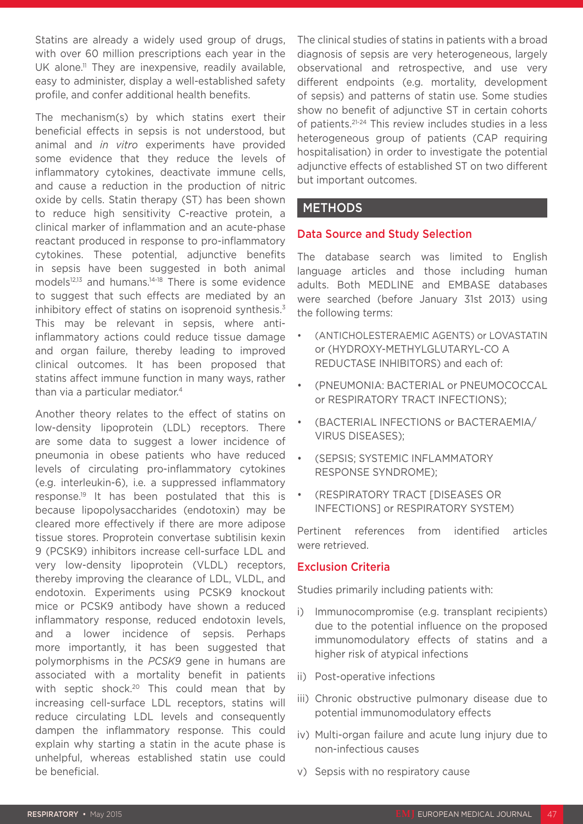Statins are already a widely used group of drugs, with over 60 million prescriptions each year in the UK alone.<sup>11</sup> They are inexpensive, readily available, easy to administer, display a well-established safety profile, and confer additional health benefits.

The mechanism(s) by which statins exert their beneficial effects in sepsis is not understood, but animal and *in vitro* experiments have provided some evidence that they reduce the levels of inflammatory cytokines, deactivate immune cells, and cause a reduction in the production of nitric oxide by cells. Statin therapy (ST) has been shown to reduce high sensitivity C-reactive protein, a clinical marker of inflammation and an acute-phase reactant produced in response to pro-inflammatory cytokines. These potential, adjunctive benefits in sepsis have been suggested in both animal models<sup>12,13</sup> and humans.<sup>14-18</sup> There is some evidence to suggest that such effects are mediated by an inhibitory effect of statins on isoprenoid synthesis.<sup>3</sup> This may be relevant in sepsis, where antiinflammatory actions could reduce tissue damage and organ failure, thereby leading to improved clinical outcomes. It has been proposed that statins affect immune function in many ways, rather than via a particular mediator.<sup>4</sup>

Another theory relates to the effect of statins on low-density lipoprotein (LDL) receptors. There are some data to suggest a lower incidence of pneumonia in obese patients who have reduced levels of circulating pro-inflammatory cytokines (e.g. interleukin-6), i.e. a suppressed inflammatory response.19 It has been postulated that this is because lipopolysaccharides (endotoxin) may be cleared more effectively if there are more adipose tissue stores. Proprotein convertase subtilisin kexin 9 (PCSK9) inhibitors increase cell-surface LDL and very low-density lipoprotein (VLDL) receptors, thereby improving the clearance of LDL, VLDL, and endotoxin. Experiments using PCSK9 knockout mice or PCSK9 antibody have shown a reduced inflammatory response, reduced endotoxin levels, and a lower incidence of sepsis. Perhaps more importantly, it has been suggested that polymorphisms in the *PCSK9* gene in humans are associated with a mortality benefit in patients with septic shock.<sup>20</sup> This could mean that by increasing cell-surface LDL receptors, statins will reduce circulating LDL levels and consequently dampen the inflammatory response. This could explain why starting a statin in the acute phase is unhelpful, whereas established statin use could be beneficial.

The clinical studies of statins in patients with a broad diagnosis of sepsis are very heterogeneous, largely observational and retrospective, and use very different endpoints (e.g. mortality, development of sepsis) and patterns of statin use. Some studies show no benefit of adjunctive ST in certain cohorts of patients.21-24 This review includes studies in a less heterogeneous group of patients (CAP requiring hospitalisation) in order to investigate the potential adjunctive effects of established ST on two different but important outcomes.

# METHODS

#### Data Source and Study Selection

The database search was limited to English language articles and those including human adults. Both MEDLINE and EMBASE databases were searched (before January 31st 2013) using the following terms:

- (ANTICHOLESTERAEMIC AGENTS) or LOVASTATIN or (HYDROXY-METHYLGLUTARYL-CO A REDUCTASE INHIBITORS) and each of:
- (PNEUMONIA: BACTERIAL or PNEUMOCOCCAL or RESPIRATORY TRACT INFECTIONS);
- (BACTERIAL INFECTIONS or BACTERAEMIA/ VIRUS DISEASES);
- (SEPSIS; SYSTEMIC INFLAMMATORY RESPONSE SYNDROME);
- (RESPIRATORY TRACT [DISEASES OR INFECTIONS] or RESPIRATORY SYSTEM)

Pertinent references from identified articles were retrieved.

#### Exclusion Criteria

Studies primarily including patients with:

- i) Immunocompromise (e.g. transplant recipients) due to the potential influence on the proposed immunomodulatory effects of statins and a higher risk of atypical infections
- ii) Post-operative infections
- iii) Chronic obstructive pulmonary disease due to potential immunomodulatory effects
- iv) Multi-organ failure and acute lung injury due to non-infectious causes
- v) Sepsis with no respiratory cause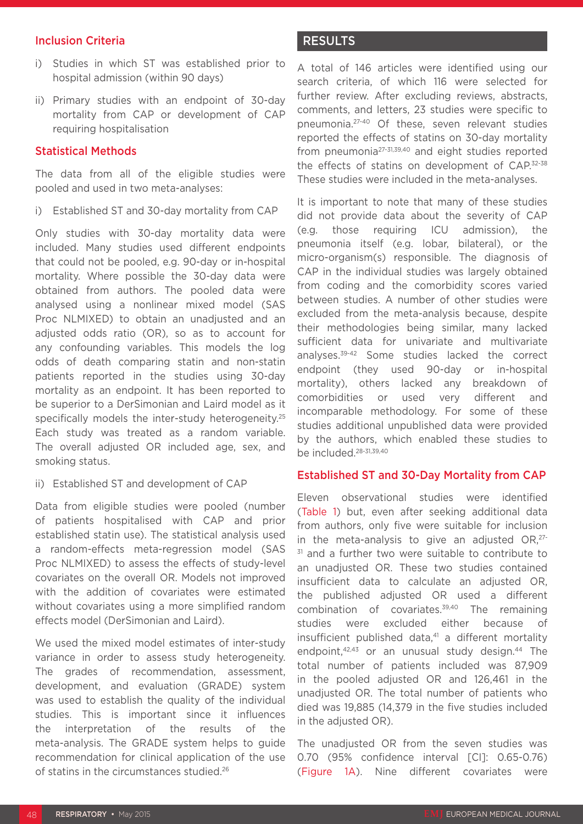#### Inclusion Criteria

- i) Studies in which ST was established prior to hospital admission (within 90 days)
- ii) Primary studies with an endpoint of 30-day mortality from CAP or development of CAP requiring hospitalisation

#### Statistical Methods

The data from all of the eligible studies were pooled and used in two meta-analyses:

i) Established ST and 30-day mortality from CAP

Only studies with 30-day mortality data were included. Many studies used different endpoints that could not be pooled, e.g. 90-day or in-hospital mortality. Where possible the 30-day data were obtained from authors. The pooled data were analysed using a nonlinear mixed model (SAS Proc NLMIXED) to obtain an unadjusted and an adjusted odds ratio (OR), so as to account for any confounding variables. This models the log odds of death comparing statin and non-statin patients reported in the studies using 30-day mortality as an endpoint. It has been reported to be superior to a DerSimonian and Laird model as it specifically models the inter-study heterogeneity.<sup>25</sup> Each study was treated as a random variable. The overall adjusted OR included age, sex, and smoking status.

ii) Established ST and development of CAP

Data from eligible studies were pooled (number of patients hospitalised with CAP and prior established statin use). The statistical analysis used a random-effects meta-regression model (SAS Proc NLMIXED) to assess the effects of study-level covariates on the overall OR. Models not improved with the addition of covariates were estimated without covariates using a more simplified random effects model (DerSimonian and Laird).

We used the mixed model estimates of inter-study variance in order to assess study heterogeneity. The grades of recommendation, assessment, development, and evaluation (GRADE) system was used to establish the quality of the individual studies. This is important since it influences the interpretation of the results of the meta-analysis. The GRADE system helps to guide recommendation for clinical application of the use of statins in the circumstances studied.26

# **RESULTS**

A total of 146 articles were identified using our search criteria, of which 116 were selected for further review. After excluding reviews, abstracts, comments, and letters, 23 studies were specific to pneumonia.27-40 Of these, seven relevant studies reported the effects of statins on 30-day mortality from pneumonia<sup>27-31,39,40</sup> and eight studies reported the effects of statins on development of CAP.<sup>32-38</sup> These studies were included in the meta-analyses.

It is important to note that many of these studies did not provide data about the severity of CAP (e.g. those requiring ICU admission), the pneumonia itself (e.g. lobar, bilateral), or the micro-organism(s) responsible. The diagnosis of CAP in the individual studies was largely obtained from coding and the comorbidity scores varied between studies. A number of other studies were excluded from the meta-analysis because, despite their methodologies being similar, many lacked sufficient data for univariate and multivariate analyses.39-42 Some studies lacked the correct endpoint (they used 90-day or in-hospital mortality), others lacked any breakdown of comorbidities or used very different and incomparable methodology. For some of these studies additional unpublished data were provided by the authors, which enabled these studies to be included.<sup>28-31,39,40</sup>

# Established ST and 30-Day Mortality from CAP

Eleven observational studies were identified (Table 1) but, even after seeking additional data from authors, only five were suitable for inclusion in the meta-analysis to give an adjusted OR,<sup>27-</sup> <sup>31</sup> and a further two were suitable to contribute to an unadjusted OR. These two studies contained insufficient data to calculate an adjusted OR, the published adjusted OR used a different combination of covariates.39,40 The remaining studies were excluded either because of insufficient published data,<sup>41</sup> a different mortality endpoint, $42,43$  or an unusual study design. $44$  The total number of patients included was 87,909 in the pooled adjusted OR and 126,461 in the unadjusted OR. The total number of patients who died was 19,885 (14,379 in the five studies included in the adjusted OR).

The unadjusted OR from the seven studies was 0.70 (95% confidence interval [CI]: 0.65-0.76) (Figure 1A). Nine different covariates were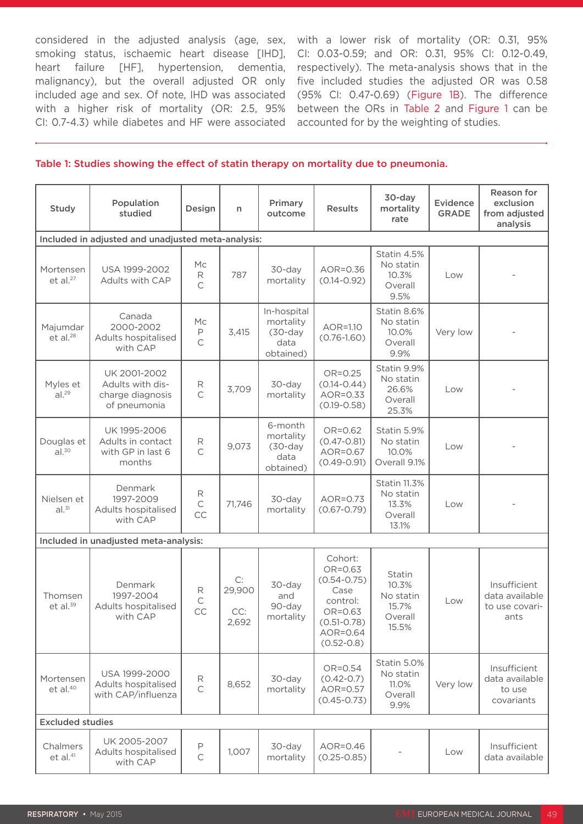considered in the adjusted analysis (age, sex, smoking status, ischaemic heart disease [IHD], heart failure [HF], hypertension, dementia, malignancy), but the overall adjusted OR only included age and sex. Of note, IHD was associated with a higher risk of mortality (OR: 2.5, 95% CI: 0.7-4.3) while diabetes and HF were associated accounted for by the weighting of studies.

with a lower risk of mortality (OR: 0.31, 95% CI: 0.03-0.59; and OR: 0.31, 95% CI: 0.12-0.49, respectively). The meta-analysis shows that in the five included studies the adjusted OR was 0.58 (95% CI: 0.47-0.69) (Figure 1B). The difference between the ORs in Table 2 and Figure 1 can be

#### Table 1: Studies showing the effect of statin therapy on mortality due to pneumonia.

| Study                             | Population<br>studied                                                | Design                  | n                            | Primary<br>outcome                                          | <b>Results</b>                                                                                                        | 30-day<br>mortality<br>rate                                   | Evidence<br><b>GRADE</b> | Reason for<br>exclusion<br>from adjusted<br>analysis     |
|-----------------------------------|----------------------------------------------------------------------|-------------------------|------------------------------|-------------------------------------------------------------|-----------------------------------------------------------------------------------------------------------------------|---------------------------------------------------------------|--------------------------|----------------------------------------------------------|
|                                   | Included in adjusted and unadjusted meta-analysis:                   |                         |                              |                                                             |                                                                                                                       |                                                               |                          |                                                          |
| Mortensen<br>$et$ al. $27$        | USA 1999-2002<br>Adults with CAP                                     | Mc<br>R<br>$\mathsf{C}$ | 787                          | 30-day<br>mortality                                         | AOR=0.36<br>$(0.14 - 0.92)$                                                                                           | Statin 4.5%<br>No statin<br>10.3%<br>Overall<br>9.5%          | Low                      |                                                          |
| Majumdar<br>$et$ al. $28$         | Canada<br>2000-2002<br>Adults hospitalised<br>with CAP               | Mc<br>Р<br>C            | 3,415                        | In-hospital<br>mortality<br>$(30-day)$<br>data<br>obtained) | AOR=1.10<br>$(0.76 - 1.60)$                                                                                           | Statin 8.6%<br>No statin<br>10.0%<br>Overall<br>9.9%          | Very low                 |                                                          |
| Myles et<br>al. <sup>29</sup>     | UK 2001-2002<br>Adults with dis-<br>charge diagnosis<br>of pneumonia | R<br>$\mathsf{C}$       | 3,709                        | 30-day<br>mortality                                         | OR=0.25<br>$(0.14 - 0.44)$<br>AOR=0.33<br>$(0.19 - 0.58)$                                                             | Statin 9.9%<br>No statin<br>26.6%<br>Overall<br>25.3%         | Low                      |                                                          |
| Douglas et<br>al. <sup>30</sup>   | UK 1995-2006<br>Adults in contact<br>with GP in last 6<br>months     | R<br>$\mathsf{C}$       | 9,073                        | 6-month<br>mortality<br>$(30-day)$<br>data<br>obtained)     | $OR = 0.62$<br>$(0.47 - 0.81)$<br>AOR=0.67<br>$(0.49 - 0.91)$                                                         | Statin 5.9%<br>No statin<br>10.0%<br>Overall 9.1%             | Low                      |                                                          |
| Nielsen et<br>al. <sup>31</sup>   | Denmark<br>1997-2009<br>Adults hospitalised<br>with CAP              | R<br>$\mathsf C$<br>CC  | 71,746                       | 30-day<br>mortality                                         | AOR=0.73<br>$(0.67 - 0.79)$                                                                                           | <b>Statin 11.3%</b><br>No statin<br>13.3%<br>Overall<br>13.1% | Low                      |                                                          |
|                                   | Included in unadjusted meta-analysis:                                |                         |                              |                                                             |                                                                                                                       |                                                               |                          |                                                          |
| Thomsen<br>et al. $39$            | Denmark<br>1997-2004<br>Adults hospitalised<br>with CAP              | R<br>$\subset$<br>CC    | C:<br>29,900<br>CC:<br>2,692 | 30-day<br>and<br>90-day<br>mortality                        | Cohort:<br>OR=0.63<br>$(0.54 - 0.75)$<br>Case<br>control:<br>OR=0.63<br>$(0.51 - 0.78)$<br>AOR=0.64<br>$(0.52 - 0.8)$ | Statin<br>10.3%<br>No statin<br>15.7%<br>Overall<br>15.5%     | Low                      | Insufficient<br>data available<br>to use covari-<br>ants |
| Mortensen<br>et al. <sup>40</sup> | USA 1999-2000<br>Adults hospitalised<br>with CAP/influenza           | R<br>$\mathsf{C}$       | 8,652                        | 30-day<br>mortality                                         | OR=0.54<br>$(0.42 - 0.7)$<br>AOR=0.57<br>$(0.45 - 0.73)$                                                              | Statin 5.0%<br>No statin<br>11.0%<br>Overall<br>9.9%          | Very low                 | Insufficient<br>data available<br>to use<br>covariants   |
| <b>Excluded studies</b>           |                                                                      |                         |                              |                                                             |                                                                                                                       |                                                               |                          |                                                          |
| Chalmers<br>et al. <sup>41</sup>  | UK 2005-2007<br>Adults hospitalised<br>with CAP                      | P<br>$\overline{C}$     | 1,007                        | 30-day<br>mortality                                         | AOR=0.46<br>$(0.25 - 0.85)$                                                                                           |                                                               | Low                      | Insufficient<br>data available                           |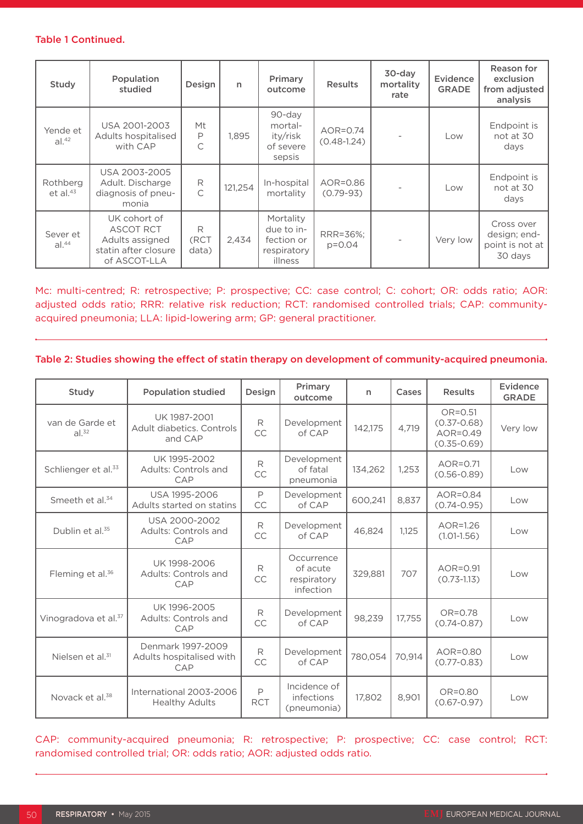#### Table 1 Continued.

| Study                         | Population<br>studied                                                                       | Design                  | $\mathsf{n}$ | Primary<br>outcome                                              | <b>Results</b>              | 30-day<br>mortality<br>rate | Evidence<br><b>GRADE</b> | Reason for<br>exclusion<br>from adjusted<br>analysis     |
|-------------------------------|---------------------------------------------------------------------------------------------|-------------------------|--------------|-----------------------------------------------------------------|-----------------------------|-----------------------------|--------------------------|----------------------------------------------------------|
| Yende et<br>al. <sup>42</sup> | USA 2001-2003<br>Adults hospitalised<br>with CAP                                            | Mt<br>$\mathsf{P}$<br>C | 1.895        | 90-day<br>mortal-<br>ity/risk<br>of severe<br>sepsis            | AOR=0.74<br>$(0.48 - 1.24)$ |                             | Low                      | Endpoint is<br>not at 30<br>days                         |
| Rothberg<br>et al. $43$       | USA 2003-2005<br>Adult. Discharge<br>diagnosis of pneu-<br>monia                            | R<br>$\mathsf{C}$       | 121,254      | In-hospital<br>mortality                                        | AOR=0.86<br>$(0.79 - 93)$   |                             | Low                      | Endpoint is<br>not at 30<br>days                         |
| Sever et<br>al. <sup>44</sup> | UK cohort of<br><b>ASCOT RCT</b><br>Adults assigned<br>statin after closure<br>of ASCOT-LLA | R<br>(RCT<br>data)      | 2,434        | Mortality<br>due to in-<br>fection or<br>respiratory<br>illness | RRR=36%;<br>$p = 0.04$      |                             | Very low                 | Cross over<br>design; end-<br>point is not at<br>30 days |

## Mc: multi-centred; R: retrospective; P: prospective; CC: case control; C: cohort; OR: odds ratio; AOR: adjusted odds ratio; RRR: relative risk reduction; RCT: randomised controlled trials; CAP: communityacquired pneumonia; LLA: lipid-lowering arm; GP: general practitioner.

#### Table 2: Studies showing the effect of statin therapy on development of community-acquired pneumonia.

| Study                                | <b>Population studied</b>                            | Design                     | Primary<br>outcome                                 | n       | Cases  | <b>Results</b>                                                  | Evidence<br><b>GRADE</b> |
|--------------------------------------|------------------------------------------------------|----------------------------|----------------------------------------------------|---------|--------|-----------------------------------------------------------------|--------------------------|
| van de Garde et<br>al. <sup>32</sup> | UK 1987-2001<br>Adult diabetics, Controls<br>and CAP | R<br>CC                    | Development<br>of CAP                              | 142,175 | 4,719  | $OR = 0.51$<br>$(0.37 - 0.68)$<br>$AOR=0.49$<br>$(0.35 - 0.69)$ | Very low                 |
| Schlienger et al. <sup>33</sup>      | UK 1995-2002<br>Adults: Controls and<br>CAP          | $\mathsf{R}$<br>CC         | Development<br>of fatal<br>pneumonia               | 134,262 | 1,253  | $AOR = 0.71$<br>$(0.56 - 0.89)$                                 | Low                      |
| Smeeth et al. <sup>34</sup>          | USA 1995-2006<br>Adults started on statins           | $\mathsf{P}$<br>CC         | Development<br>of CAP                              | 600,241 | 8,837  | $AOR = 0.84$<br>$(0.74 - 0.95)$                                 | Low                      |
| Dublin et al. <sup>35</sup>          | USA 2000-2002<br>Adults: Controls and<br>CAP         | R<br>CC                    | Development<br>of CAP                              | 46,824  | 1,125  | $AOR=1.26$<br>$(1.01 - 1.56)$                                   | Low                      |
| Fleming et al. <sup>36</sup>         | UK 1998-2006<br>Adults: Controls and<br>CAP          | R<br>CC                    | Occurrence<br>of acute<br>respiratory<br>infection | 329,881 | 707    | AOR=0.91<br>$(0.73 - 1.13)$                                     | Low                      |
| Vinogradova et al. <sup>37</sup>     | UK 1996-2005<br>Adults: Controls and<br>CAP          | R<br>CC                    | Development<br>of CAP                              | 98,239  | 17,755 | $OR = 0.78$<br>$(0.74 - 0.87)$                                  | Low                      |
| Nielsen et al. <sup>31</sup>         | Denmark 1997-2009<br>Adults hospitalised with<br>CAP | R<br>CC                    | Development<br>of CAP                              | 780,054 | 70,914 | AOR=0.80<br>$(0.77 - 0.83)$                                     | Low                      |
| Novack et al. <sup>38</sup>          | International 2003-2006<br><b>Healthy Adults</b>     | $\mathsf{P}$<br><b>RCT</b> | Incidence of<br>infections<br>(pneumonia)          | 17.802  | 8,901  | OR=0.80<br>$(0.67 - 0.97)$                                      | Low                      |

CAP: community-acquired pneumonia; R: retrospective; P: prospective; CC: case control; RCT: randomised controlled trial; OR: odds ratio; AOR: adjusted odds ratio.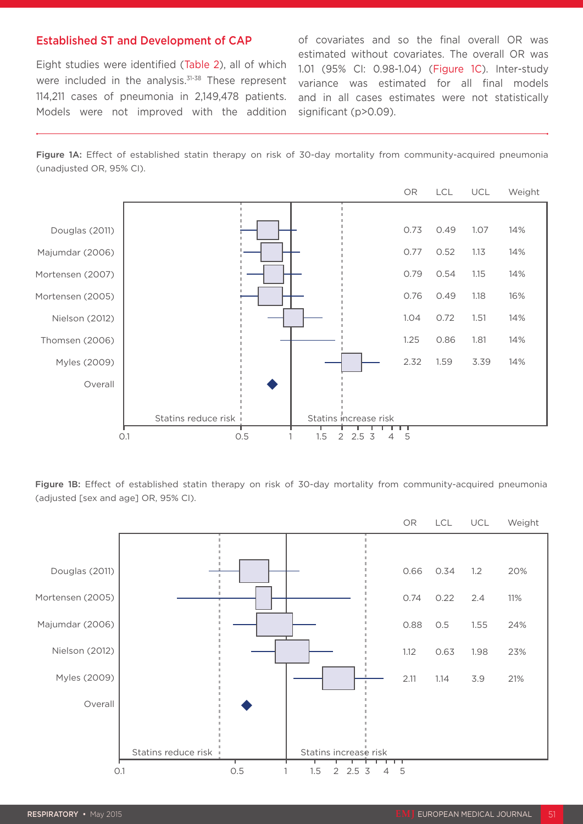#### Established ST and Development of CAP

Eight studies were identified (Table 2), all of which were included in the analysis.<sup>31-38</sup> These represent 114,211 cases of pneumonia in 2,149,478 patients. Models were not improved with the addition of covariates and so the final overall OR was estimated without covariates. The overall OR was 1.01 (95% CI: 0.98-1.04) (Figure 1C). Inter-study variance was estimated for all final models and in all cases estimates were not statistically significant (p>0.09).

Figure 1A: Effect of established statin therapy on risk of 30-day mortality from community-acquired pneumonia (unadjusted OR, 95% CI).



Figure 1B: Effect of established statin therapy on risk of 30-day mortality from community-acquired pneumonia (adjusted [sex and age] OR, 95% CI).

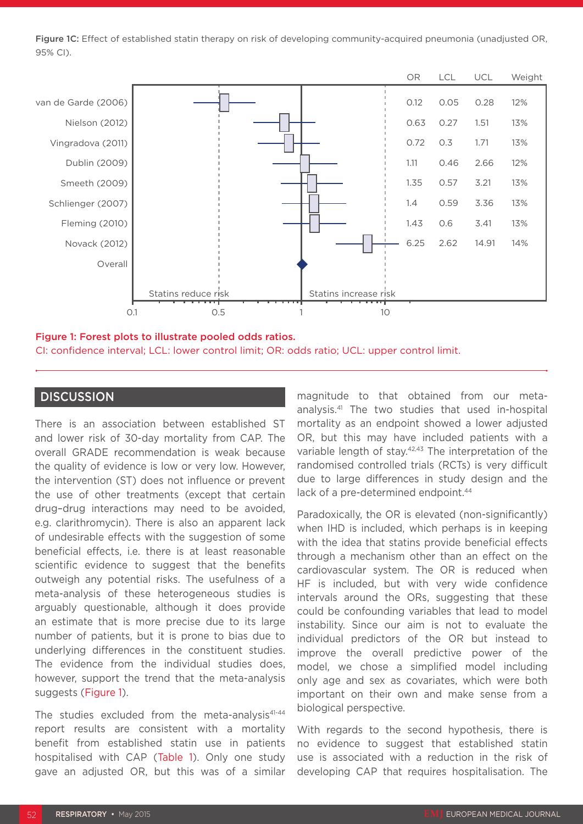Figure 1C: Effect of established statin therapy on risk of developing community-acquired pneumonia (unadjusted OR, 95% CI).



#### Figure 1: Forest plots to illustrate pooled odds ratios.

CI: confidence interval; LCL: lower control limit; OR: odds ratio; UCL: upper control limit.

# **DISCUSSION**

There is an association between established ST and lower risk of 30-day mortality from CAP. The overall GRADE recommendation is weak because the quality of evidence is low or very low. However, the intervention (ST) does not influence or prevent the use of other treatments (except that certain drug–drug interactions may need to be avoided, e.g. clarithromycin). There is also an apparent lack of undesirable effects with the suggestion of some beneficial effects, i.e. there is at least reasonable scientific evidence to suggest that the benefits outweigh any potential risks. The usefulness of a meta-analysis of these heterogeneous studies is arguably questionable, although it does provide an estimate that is more precise due to its large number of patients, but it is prone to bias due to underlying differences in the constituent studies. The evidence from the individual studies does, however, support the trend that the meta-analysis suggests (Figure 1).

The studies excluded from the meta-analysis<sup>41-44</sup> report results are consistent with a mortality benefit from established statin use in patients hospitalised with CAP (Table 1). Only one study gave an adjusted OR, but this was of a similar

magnitude to that obtained from our metaanalysis.41 The two studies that used in-hospital mortality as an endpoint showed a lower adjusted OR, but this may have included patients with a variable length of stay.<sup>42,43</sup> The interpretation of the randomised controlled trials (RCTs) is very difficult due to large differences in study design and the lack of a pre-determined endpoint.<sup>44</sup>

Paradoxically, the OR is elevated (non-significantly) when IHD is included, which perhaps is in keeping with the idea that statins provide beneficial effects through a mechanism other than an effect on the cardiovascular system. The OR is reduced when HF is included, but with very wide confidence intervals around the ORs, suggesting that these could be confounding variables that lead to model instability. Since our aim is not to evaluate the individual predictors of the OR but instead to improve the overall predictive power of the model, we chose a simplified model including only age and sex as covariates, which were both important on their own and make sense from a biological perspective.

With regards to the second hypothesis, there is no evidence to suggest that established statin use is associated with a reduction in the risk of developing CAP that requires hospitalisation. The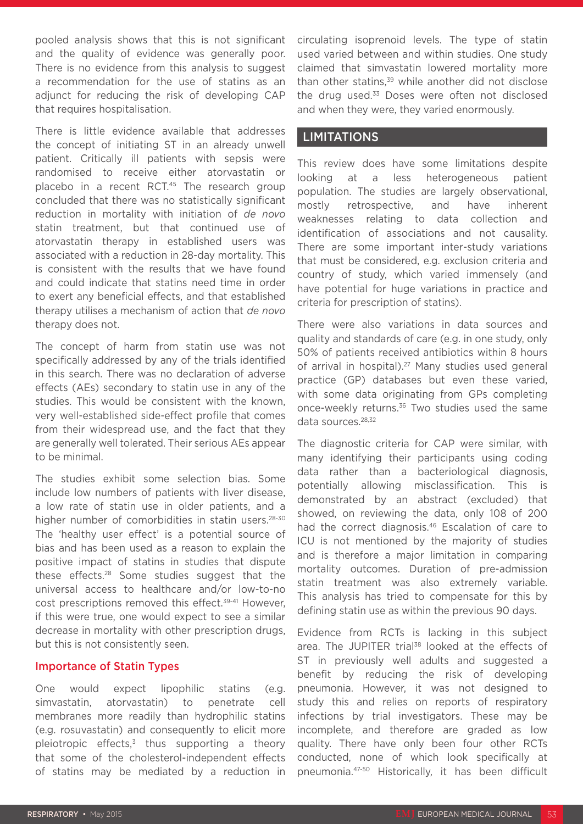pooled analysis shows that this is not significant and the quality of evidence was generally poor. There is no evidence from this analysis to suggest a recommendation for the use of statins as an adjunct for reducing the risk of developing CAP that requires hospitalisation.

There is little evidence available that addresses the concept of initiating ST in an already unwell patient. Critically ill patients with sepsis were randomised to receive either atorvastatin or placebo in a recent RCT.<sup>45</sup> The research group concluded that there was no statistically significant reduction in mortality with initiation of *de novo* statin treatment, but that continued use of atorvastatin therapy in established users was associated with a reduction in 28-day mortality. This is consistent with the results that we have found and could indicate that statins need time in order to exert any beneficial effects, and that established therapy utilises a mechanism of action that *de novo* therapy does not.

The concept of harm from statin use was not specifically addressed by any of the trials identified in this search. There was no declaration of adverse effects (AEs) secondary to statin use in any of the studies. This would be consistent with the known, very well-established side-effect profile that comes from their widespread use, and the fact that they are generally well tolerated. Their serious AEs appear to be minimal.

The studies exhibit some selection bias. Some include low numbers of patients with liver disease, a low rate of statin use in older patients, and a higher number of comorbidities in statin users.<sup>28-30</sup> The 'healthy user effect' is a potential source of bias and has been used as a reason to explain the positive impact of statins in studies that dispute these effects.28 Some studies suggest that the universal access to healthcare and/or low-to-no cost prescriptions removed this effect.<sup>39-41</sup> However, if this were true, one would expect to see a similar decrease in mortality with other prescription drugs, but this is not consistently seen.

#### Importance of Statin Types

One would expect lipophilic statins (e.g. simvastatin, atorvastatin) to penetrate cell membranes more readily than hydrophilic statins (e.g. rosuvastatin) and consequently to elicit more pleiotropic effects, $3$  thus supporting a theory that some of the cholesterol-independent effects of statins may be mediated by a reduction in circulating isoprenoid levels. The type of statin used varied between and within studies. One study claimed that simvastatin lowered mortality more than other statins.<sup>39</sup> while another did not disclose the drug used.<sup>33</sup> Doses were often not disclosed and when they were, they varied enormously.

## LIMITATIONS

This review does have some limitations despite looking at a less heterogeneous patient population. The studies are largely observational, mostly retrospective, and have inherent weaknesses relating to data collection and identification of associations and not causality. There are some important inter-study variations that must be considered, e.g. exclusion criteria and country of study, which varied immensely (and have potential for huge variations in practice and criteria for prescription of statins).

There were also variations in data sources and quality and standards of care (e.g. in one study, only 50% of patients received antibiotics within 8 hours of arrival in hospital).<sup>27</sup> Many studies used general practice (GP) databases but even these varied, with some data originating from GPs completing once-weekly returns.<sup>36</sup> Two studies used the same data sources.<sup>28,32</sup>

The diagnostic criteria for CAP were similar, with many identifying their participants using coding data rather than a bacteriological diagnosis, potentially allowing misclassification. This is demonstrated by an abstract (excluded) that showed, on reviewing the data, only 108 of 200 had the correct diagnosis.<sup>46</sup> Escalation of care to ICU is not mentioned by the majority of studies and is therefore a major limitation in comparing mortality outcomes. Duration of pre-admission statin treatment was also extremely variable. This analysis has tried to compensate for this by defining statin use as within the previous 90 days.

Evidence from RCTs is lacking in this subject area. The JUPITER trial<sup>38</sup> looked at the effects of ST in previously well adults and suggested a benefit by reducing the risk of developing pneumonia. However, it was not designed to study this and relies on reports of respiratory infections by trial investigators. These may be incomplete, and therefore are graded as low quality. There have only been four other RCTs conducted, none of which look specifically at pneumonia.47-50 Historically, it has been difficult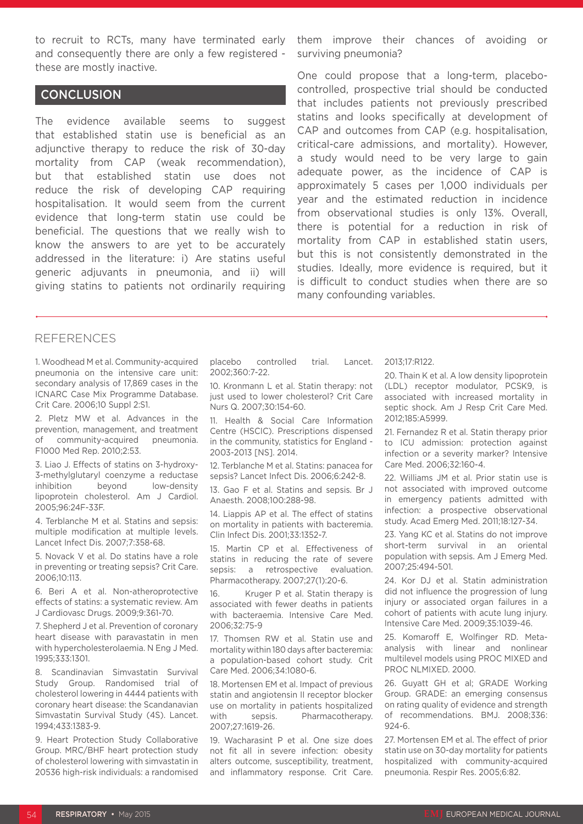to recruit to RCTs, many have terminated early and consequently there are only a few registered these are mostly inactive.

# **CONCLUSION**

The evidence available seems to suggest that established statin use is beneficial as an adjunctive therapy to reduce the risk of 30-day mortality from CAP (weak recommendation), but that established statin use does not reduce the risk of developing CAP requiring hospitalisation. It would seem from the current evidence that long-term statin use could be beneficial. The questions that we really wish to know the answers to are yet to be accurately addressed in the literature: i) Are statins useful generic adjuvants in pneumonia, and ii) will giving statins to patients not ordinarily requiring

them improve their chances of avoiding or surviving pneumonia?

One could propose that a long-term, placebocontrolled, prospective trial should be conducted that includes patients not previously prescribed statins and looks specifically at development of CAP and outcomes from CAP (e.g. hospitalisation, critical-care admissions, and mortality). However, a study would need to be very large to gain adequate power, as the incidence of CAP is approximately 5 cases per 1,000 individuals per year and the estimated reduction in incidence from observational studies is only 13%. Overall, there is potential for a reduction in risk of mortality from CAP in established statin users, but this is not consistently demonstrated in the studies. Ideally, more evidence is required, but it is difficult to conduct studies when there are so many confounding variables.

## REFERENCES

1. Woodhead M et al. Community-acquired pneumonia on the intensive care unit: secondary analysis of 17,869 cases in the ICNARC Case Mix Programme Database. Crit Care. 2006;10 Suppl 2:S1.

2. Pletz MW et al. Advances in the prevention, management, and treatment of community-acquired pneumonia. F1000 Med Rep. 2010;2:53.

3. Liao J. Effects of statins on 3-hydroxy-3-methylglutaryl coenzyme a reductase inhibition beyond low-density lipoprotein cholesterol. Am J Cardiol. 2005;96:24F-33F.

4. Terblanche M et al. Statins and sepsis: multiple modification at multiple levels. Lancet Infect Dis. 2007;7:358-68.

5. Novack V et al. Do statins have a role in preventing or treating sepsis? Crit Care. 2006;10:113.

6. Beri A et al. Non-atheroprotective effects of statins: a systematic review. Am J Cardiovasc Drugs. 2009;9:361-70.

7. Shepherd J et al. Prevention of coronary heart disease with paravastatin in men with hypercholesterolaemia. N Eng J Med. 1995;333:1301.

8. Scandinavian Simvastatin Survival Study Group. Randomised trial of cholesterol lowering in 4444 patients with coronary heart disease: the Scandanavian Simvastatin Survival Study (4S). Lancet. 1994;433:1383-9.

9. Heart Protection Study Collaborative Group. MRC/BHF heart protection study of cholesterol lowering with simvastatin in 20536 high-risk individuals: a randomised placebo controlled trial. Lancet. 2002;360:7-22.

10. Kronmann L et al. Statin therapy: not just used to lower cholesterol? Crit Care Nurs Q. 2007;30:154-60.

11. Health & Social Care Information Centre (HSCIC). Prescriptions dispensed in the community, statistics for England - 2003-2013 [NS]. 2014.

12. Terblanche M et al. Statins: panacea for sepsis? Lancet Infect Dis. 2006;6:242-8.

13. Gao F et al. Statins and sepsis. Br J Anaesth. 2008;100:288-98.

14. Liappis AP et al. The effect of statins on mortality in patients with bacteremia. Clin Infect Dis. 2001;33:1352-7.

15. Martin CP et al. Effectiveness of statins in reducing the rate of severe sepsis: a retrospective evaluation. Pharmacotherapy. 2007;27(1):20-6.

16. Kruger P et al. Statin therapy is associated with fewer deaths in patients with bacteraemia. Intensive Care Med. 2006;32:75-9

17. Thomsen RW et al. Statin use and mortality within 180 days after bacteremia: a population-based cohort study. Crit Care Med. 2006;34:1080-6.

18. Mortensen EM et al. Impact of previous statin and angiotensin II receptor blocker use on mortality in patients hospitalized with sepsis. Pharmacotherapy. 2007;27:1619-26.

19. Wacharasint P et al. One size does not fit all in severe infection: obesity alters outcome, susceptibility, treatment, and inflammatory response. Crit Care. 2013;17:R122.

20. Thain K et al. A low density lipoprotein (LDL) receptor modulator, PCSK9, is associated with increased mortality in septic shock. Am J Resp Crit Care Med. 2012;185:A5999.

21. Fernandez R et al. Statin therapy prior to ICU admission: protection against infection or a severity marker? Intensive Care Med. 2006;32:160-4.

22. Williams JM et al. Prior statin use is not associated with improved outcome in emergency patients admitted with infection: a prospective observational study. Acad Emerg Med. 2011;18:127-34.

23. Yang KC et al. Statins do not improve short-term survival in an oriental population with sepsis. Am J Emerg Med. 2007;25:494-501.

24. Kor DJ et al. Statin administration did not influence the progression of lung injury or associated organ failures in a cohort of patients with acute lung injury. Intensive Care Med. 2009;35:1039-46.

25. Komaroff E, Wolfinger RD. Metaanalysis with linear and nonlinear multilevel models using PROC MIXED and PROC NLMIXED. 2000.

26. Guyatt GH et al; GRADE Working Group. GRADE: an emerging consensus on rating quality of evidence and strength of recommendations. BMJ. 2008;336:  $924 - 6$ 

27. Mortensen EM et al. The effect of prior statin use on 30-day mortality for patients hospitalized with community-acquired pneumonia. Respir Res. 2005;6:82.